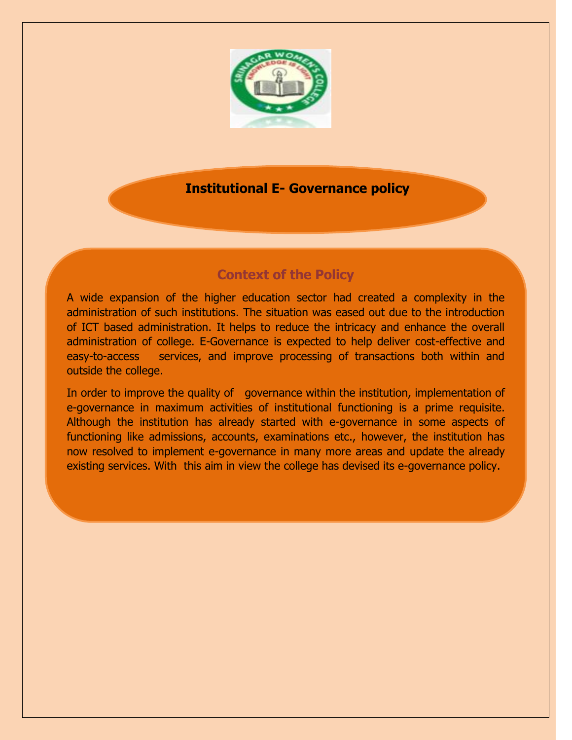

# **Institutional E- Governance policy**

# **Context of the Policy**

A wide expansion of the higher education sector had created a complexity in the administration of such institutions. The situation was eased out due to the introduction of ICT based administration. It helps to reduce the intricacy and enhance the overall administration of college. E-Governance is expected to help deliver cost-effective and easy-to-access services, and improve processing of transactions both within and outside the college.

In order to improve the quality of governance within the institution, implementation of e-governance in maximum activities of institutional functioning is a prime requisite. Although the institution has already started with e-governance in some aspects of functioning like admissions, accounts, examinations etc., however, the institution has now resolved to implement e-governance in many more areas and update the already existing services. With this aim in view the college has devised its e-governance policy.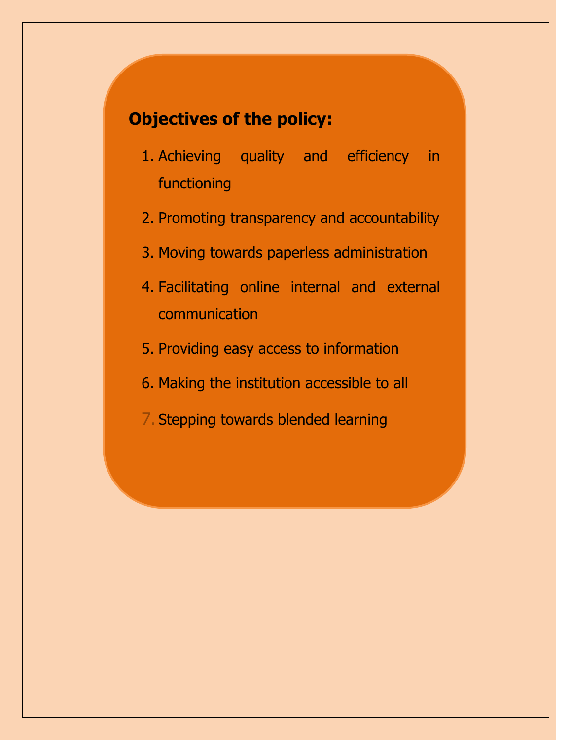# **Objectives of the policy:**

- 1. Achieving quality and efficiency in functioning
- 2. Promoting transparency and accountability
- 3. Moving towards paperless administration
- 4. Facilitating online internal and external communication
- 5. Providing easy access to information
- 6. Making the institution accessible to all
- 7. Stepping towards blended learning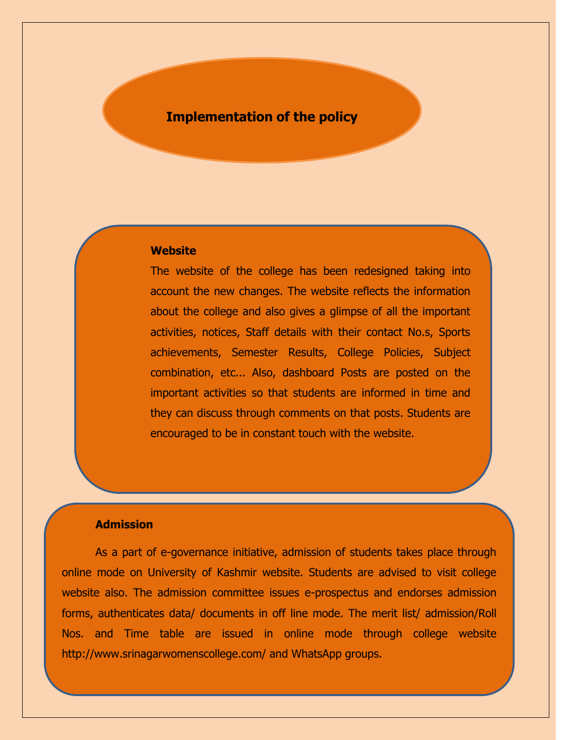## **Implementation of the policy**

#### **Website**

The website of the college has been redesigned taking into account the new changes. The website reflects the information about the college and also gives a glimpse of all the important activities, notices, Staff details with their contact No.s, Sports achievements, Semester Results, College Policies, Subject combination, etc... Also, dashboard Posts are posted on the important activities so that students are informed in time and they can discuss through comments on that posts. Students are encouraged to be in constant touch with the website.

#### **Admission**

As a part of e-governance initiative, admission of students takes place through online mode on University of Kashmir website. Students are advised to visit college website also. The admission committee issues e-prospectus and endorses admission forms, authenticates data/ documents in off line mode. The merit list/ admission/Roll Nos. and Time table are issued in online mode through college website http://www.srinagarwomenscollege.com/ and WhatsApp groups.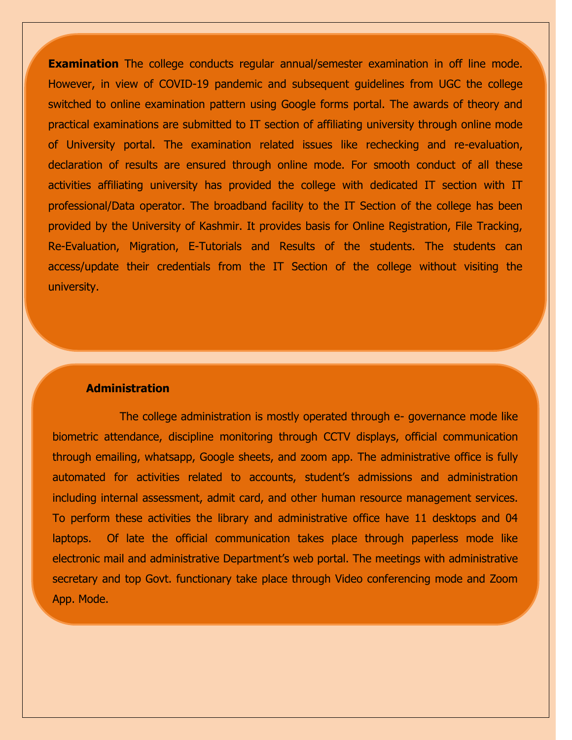**1. Examination** The college conducts regular annual/semester examination in off line mode. However, in view of COVID-19 pandemic and subsequent guidelines from UGC the college switched to online examination pattern using Google forms portal. The awards of theory and practical examinations are submitted to IT section of affiliating university through online mode of University portal. The examination related issues like rechecking and re-evaluation, declaration of results are ensured through online mode. For smooth conduct of all these activities affiliating university has provided the college with dedicated IT section with IT professional/Data operator. The broadband facility to the IT Section of the college has been provided by the University of Kashmir. It provides basis for Online Registration, File Tracking, Re-Evaluation, Migration, E-Tutorials and Results of the students. The students can access/update their credentials from the IT Section of the college without visiting the university.

#### **Administration**

The college administration is mostly operated through e- governance mode like biometric attendance, discipline monitoring through CCTV displays, official communication through emailing, whatsapp, Google sheets, and zoom app. The administrative office is fully automated for activities related to accounts, student's admissions and administration including internal assessment, admit card, and other human resource management services. To perform these activities the library and administrative office have 11 desktops and 04 laptops. Of late the official communication takes place through paperless mode like electronic mail and administrative Department's web portal. The meetings with administrative secretary and top Govt. functionary take place through Video conferencing mode and Zoom App. Mode.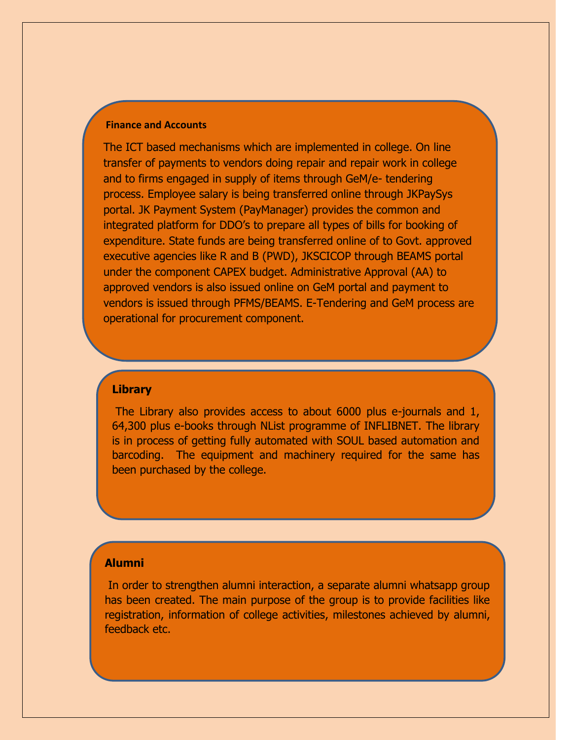#### **Finance and Accounts**

The ICT based mechanisms which are implemented in college. On line transfer of payments to vendors doing repair and repair work in college and to firms engaged in supply of items through GeM/e- tendering process. Employee salary is being transferred online through JKPaySys portal. JK Payment System (PayManager) provides the common and integrated platform for DDO's to prepare all types of bills for booking of expenditure. State funds are being transferred online of to Govt. approved executive agencies like R and B (PWD), JKSCICOP through BEAMS portal under the component CAPEX budget. Administrative Approval (AA) to approved vendors is also issued online on GeM portal and payment to vendors is issued through PFMS/BEAMS. E-Tendering and GeM process are operational for procurement component.

#### **Library**

The Library also provides access to about 6000 plus e-journals and 1, 64,300 plus e-books through NList programme of INFLIBNET. The library is in process of getting fully automated with SOUL based automation and barcoding. The equipment and machinery required for the same has been purchased by the college.

#### **Alumni**

In order to strengthen alumni interaction, a separate alumni whatsapp group has been created. The main purpose of the group is to provide facilities like registration, information of college activities, milestones achieved by alumni, feedback etc.